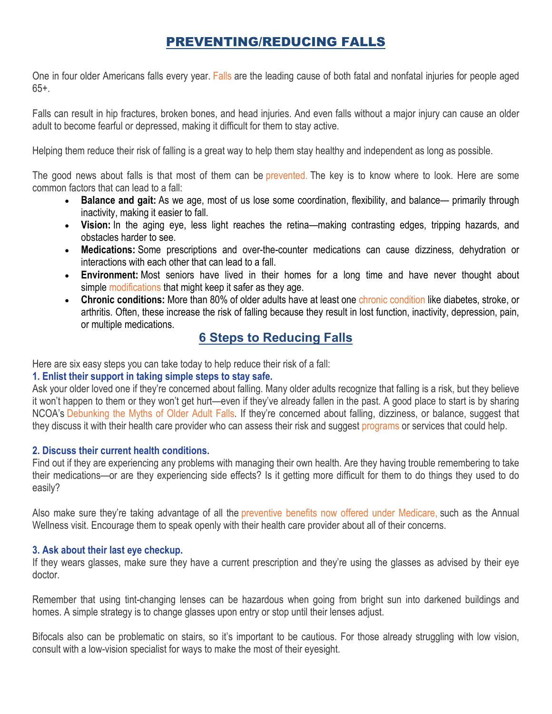## PREVENTING/REDUCING FALLS

One in four older Americans falls every year. [Falls](https://www.ncoa.org/news/resources-for-reporters/get-the-facts/falls-prevention-facts/) are the leading cause of both fatal and nonfatal injuries for people aged 65+.

Falls can result in hip fractures, broken bones, and head injuries. And even falls without a major injury can cause an older adult to become fearful or depressed, making it difficult for them to stay active.

Helping them reduce their risk of falling is a great way to help them stay healthy and independent as long as possible.

The good news about falls is that most of them can be [prevented.](https://www.ncoa.org/healthy-aging/falls-prevention) The key is to know where to look. Here are some common factors that can lead to a fall:

- **Balance and gait:** As we age, most of us lose some coordination, flexibility, and balance— primarily through inactivity, making it easier to fall.
- **Vision:** In the aging eye, less light reaches the retina—making contrasting edges, tripping hazards, and obstacles harder to see.
- **Medications:** Some prescriptions and over-the-counter medications can cause dizziness, dehydration or interactions with each other that can lead to a fall.
- **Environment:** Most seniors have lived in their homes for a long time and have never thought about simple [modifications](https://www.ncoa.org/blog/falls-prevention-home-18-step-safety-checklist/) that might keep it safer as they age.
- **Chronic conditions:** More than 80% of older adults have at least one [chronic condition](https://www.ncoa.org/news/resources-for-reporters/get-the-facts/chronic-disease-facts/) like diabetes, stroke, or arthritis. Often, these increase the risk of falling because they result in lost function, inactivity, depression, pain, or multiple medications.

# **6 Steps to Reducing Falls**

Here are six easy steps you can take today to help reduce their risk of a fall:

## **1. Enlist their support in taking simple steps to stay safe.**

Ask your older loved one if they're concerned about falling. Many older adults recognize that falling is a risk, but they believe it won't happen to them or they won't get hurt—even if they've already fallen in the past. A good place to start is by sharing NCOA's [Debunking the Myths of Older Adult Falls.](https://www.ncoa.org/healthy-aging/falls-prevention/preventing-falls-tips-for-older-adults-and-caregivers/debunking-the-myths-of-older-adult-falls/) If they're concerned about falling, dizziness, or balance, suggest that they discuss it with their health care provider who can assess their risk and suggest [programs](https://www.ncoa.org/blog/4-balance-exercises-seniors-prevent-falls/) or services that could help.

## **2. Discuss their current health conditions.**

Find out if they are experiencing any problems with managing their own health. Are they having trouble remembering to take their medications—or are they experiencing side effects? Is it getting more difficult for them to do things they used to do easily?

Also make sure they're taking advantage of all the [preventive benefits now offered under Medicare,](https://www.mymedicarematters.org/coverage/parts-a-b/preventive-services/) such as the Annual Wellness visit. Encourage them to speak openly with their health care provider about all of their concerns.

## **3. Ask about their last eye checkup.**

If they wears glasses, make sure they have a current prescription and they're using the glasses as advised by their eye doctor.

Remember that using tint-changing lenses can be hazardous when going from bright sun into darkened buildings and homes. A simple strategy is to change glasses upon entry or stop until their lenses adjust.

Bifocals also can be problematic on stairs, so it's important to be cautious. For those already struggling with low vision, consult with a low-vision specialist for ways to make the most of their eyesight.